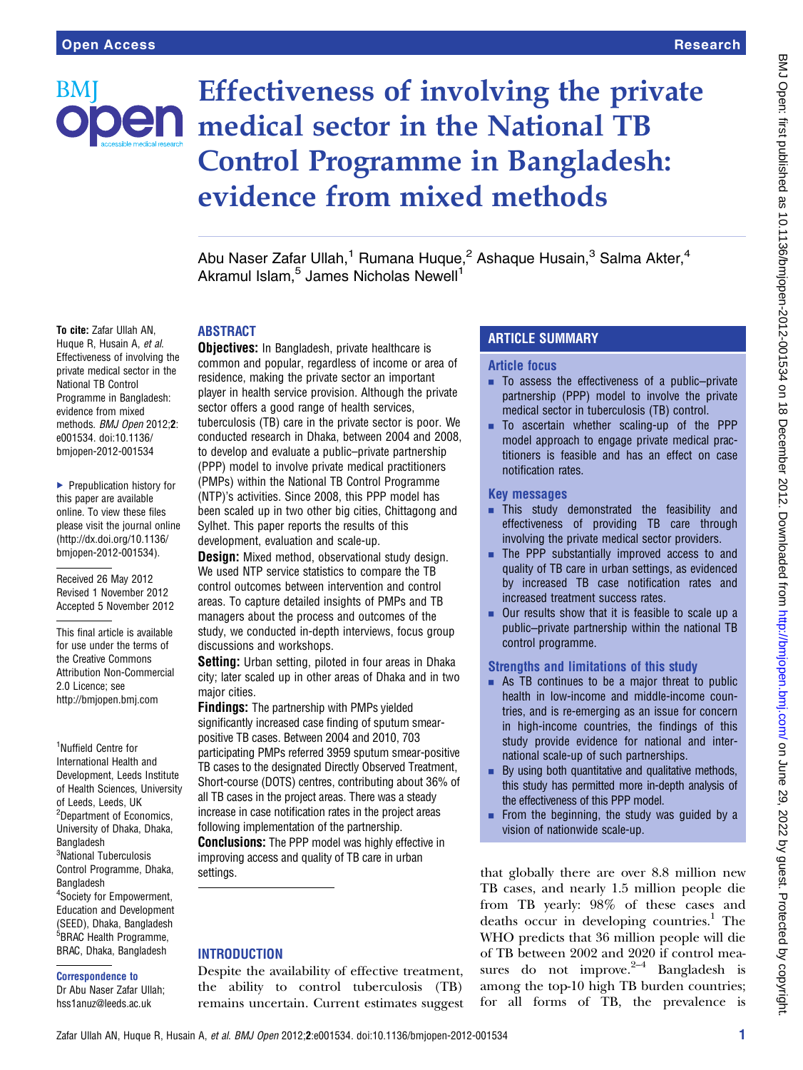BMI

# Effectiveness of involving the private **Den** medical sector in the National TB Control Programme in Bangladesh: evidence from mixed methods

Abu Naser Zafar Ullah,<sup>1</sup> Rumana Huque,<sup>2</sup> Ashaque Husain,<sup>3</sup> Salma Akter,<sup>4</sup> Akramul Islam,<sup>5</sup> James Nicholas Newell<sup>1</sup>

## ABSTRACT

To cite: Zafar Ullah AN, Huque R, Husain A, et al. Effectiveness of involving the private medical sector in the National TB Control Programme in Bangladesh: evidence from mixed methods. BMJ Open 2012;2: e001534. doi:10.1136/ bmjopen-2012-001534

▶ Prepublication history for this paper are available online. To view these files please visit the journal online [\(http://dx.doi.org/10.1136/](http://dx.doi.org/10.1136/bmjopen-2012-001534) [bmjopen-2012-001534](http://dx.doi.org/10.1136/bmjopen-2012-001534)).

Received 26 May 2012 Revised 1 November 2012 Accepted 5 November 2012

This final article is available for use under the terms of the Creative Commons Attribution Non-Commercial 2.0 Licence; see <http://bmjopen.bmj.com>

1 Nuffield Centre for International Health and Development, Leeds Institute of Health Sciences, University of Leeds, Leeds, UK <sup>2</sup>Department of Economics, University of Dhaka, Dhaka, **Bangladesh** 3 National Tuberculosis Control Programme, Dhaka, Bangladesh 4 Society for Empowerment, Education and Development (SEED), Dhaka, Bangladesh <sup>5</sup>BRAC Health Programme, BRAC, Dhaka, Bangladesh

#### Correspondence to

Dr Abu Naser Zafar Ullah; hss1anuz@leeds.ac.uk

**Objectives:** In Bangladesh, private healthcare is common and popular, regardless of income or area of residence, making the private sector an important player in health service provision. Although the private sector offers a good range of health services, tuberculosis (TB) care in the private sector is poor. We conducted research in Dhaka, between 2004 and 2008, to develop and evaluate a public–private partnership (PPP) model to involve private medical practitioners (PMPs) within the National TB Control Programme (NTP)'s activities. Since 2008, this PPP model has been scaled up in two other big cities, Chittagong and Sylhet. This paper reports the results of this development, evaluation and scale-up.

**Design:** Mixed method, observational study design. We used NTP service statistics to compare the TB control outcomes between intervention and control areas. To capture detailed insights of PMPs and TB managers about the process and outcomes of the study, we conducted in-depth interviews, focus group discussions and workshops.

Setting: Urban setting, piloted in four areas in Dhaka city; later scaled up in other areas of Dhaka and in two major cities.

Findings: The partnership with PMPs yielded significantly increased case finding of sputum smearpositive TB cases. Between 2004 and 2010, 703 participating PMPs referred 3959 sputum smear-positive TB cases to the designated Directly Observed Treatment, Short-course (DOTS) centres, contributing about 36% of all TB cases in the project areas. There was a steady increase in case notification rates in the project areas following implementation of the partnership. **Conclusions:** The PPP model was highly effective in improving access and quality of TB care in urban settings.

## **INTRODUCTION**

Despite the availability of effective treatment, the ability to control tuberculosis (TB) remains uncertain. Current estimates suggest

# ARTICLE SUMMARY

#### Article focus

- $\blacksquare$  To assess the effectiveness of a public–private partnership (PPP) model to involve the private medical sector in tuberculosis (TB) control.
- **To ascertain whether scaling-up of the PPP** model approach to engage private medical practitioners is feasible and has an effect on case notification rates.

#### Key messages

- **This study demonstrated the feasibility and** effectiveness of providing TB care through involving the private medical sector providers.
- **The PPP substantially improved access to and** quality of TB care in urban settings, as evidenced by increased TB case notification rates and increased treatment success rates.
- $\blacksquare$  Our results show that it is feasible to scale up a public–private partnership within the national TB control programme.

## Strengths and limitations of this study

- $\blacksquare$  As TB continues to be a major threat to public health in low-income and middle-income countries, and is re-emerging as an issue for concern in high-income countries, the findings of this study provide evidence for national and international scale-up of such partnerships.
- $\blacksquare$  By using both quantitative and qualitative methods, this study has permitted more in-depth analysis of the effectiveness of this PPP model.
- $\blacksquare$  From the beginning, the study was guided by a vision of nationwide scale-up.

that globally there are over 8.8 million new TB cases, and nearly 1.5 million people die from TB yearly: 98% of these cases and deaths occur in developing countries.<sup>1</sup> The WHO predicts that 36 million people will die of TB between 2002 and 2020 if control measures do not improve. $2-4$  Bangladesh is among the top-10 high TB burden countries; for all forms of TB, the prevalence is

Zafar Ullah AN, Huque R, Husain A, et al. BMJ Open 2012;2:e001534. doi:10.1136/bmjopen-2012-001534 1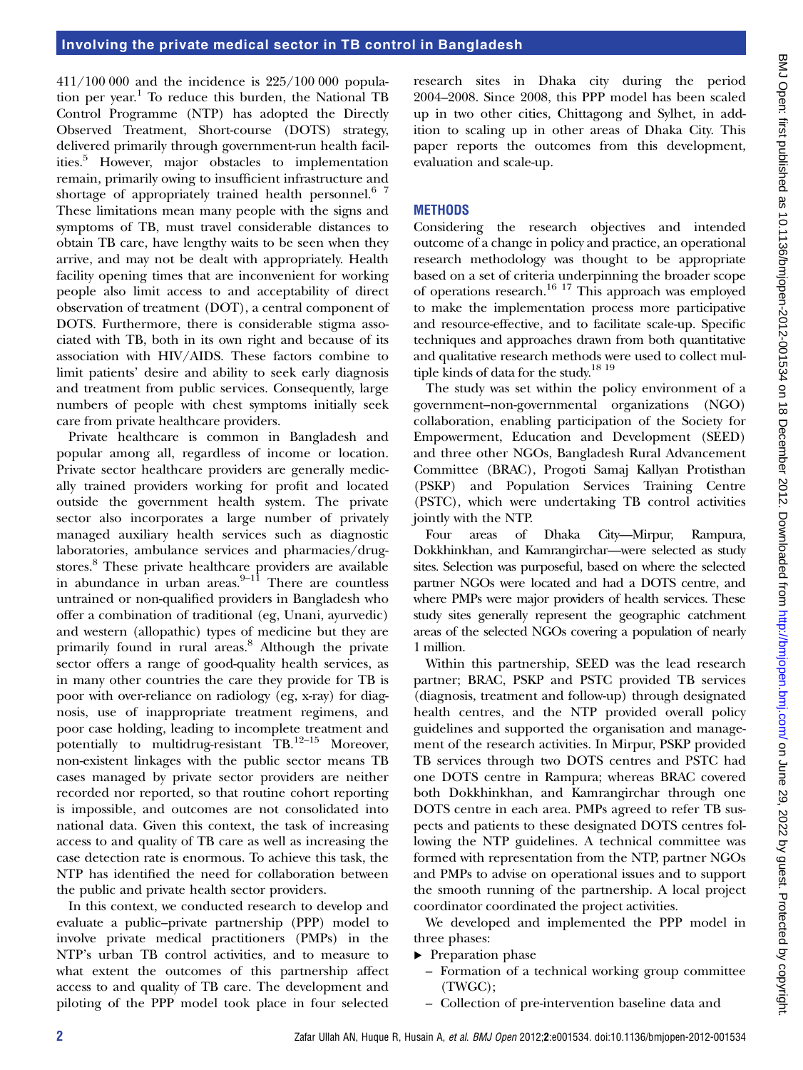411/100 000 and the incidence is 225/100 000 population per year.<sup>1</sup> To reduce this burden, the National TB Control Programme (NTP) has adopted the Directly Observed Treatment, Short-course (DOTS) strategy, delivered primarily through government-run health facilities.5 However, major obstacles to implementation remain, primarily owing to insufficient infrastructure and shortage of appropriately trained health personnel.<sup>6</sup> 7 These limitations mean many people with the signs and symptoms of TB, must travel considerable distances to obtain TB care, have lengthy waits to be seen when they arrive, and may not be dealt with appropriately. Health facility opening times that are inconvenient for working people also limit access to and acceptability of direct observation of treatment (DOT), a central component of DOTS. Furthermore, there is considerable stigma associated with TB, both in its own right and because of its association with HIV/AIDS. These factors combine to limit patients' desire and ability to seek early diagnosis and treatment from public services. Consequently, large numbers of people with chest symptoms initially seek care from private healthcare providers.

Private healthcare is common in Bangladesh and popular among all, regardless of income or location. Private sector healthcare providers are generally medically trained providers working for profit and located outside the government health system. The private sector also incorporates a large number of privately managed auxiliary health services such as diagnostic laboratories, ambulance services and pharmacies/drugstores.<sup>8</sup> These private healthcare providers are available in abundance in urban areas. $9-11$  There are countless untrained or non-qualified providers in Bangladesh who offer a combination of traditional (eg, Unani, ayurvedic) and western (allopathic) types of medicine but they are primarily found in rural areas.<sup>8</sup> Although the private sector offers a range of good-quality health services, as in many other countries the care they provide for TB is poor with over-reliance on radiology (eg, x-ray) for diagnosis, use of inappropriate treatment regimens, and poor case holding, leading to incomplete treatment and potentially to multidrug-resistant  $\overline{TB}$ .<sup>12–15</sup> Moreover, non-existent linkages with the public sector means TB cases managed by private sector providers are neither recorded nor reported, so that routine cohort reporting is impossible, and outcomes are not consolidated into national data. Given this context, the task of increasing access to and quality of TB care as well as increasing the case detection rate is enormous. To achieve this task, the NTP has identified the need for collaboration between the public and private health sector providers.

In this context, we conducted research to develop and evaluate a public–private partnership (PPP) model to involve private medical practitioners (PMPs) in the NTP's urban TB control activities, and to measure to what extent the outcomes of this partnership affect access to and quality of TB care. The development and piloting of the PPP model took place in four selected research sites in Dhaka city during the period 2004–2008. Since 2008, this PPP model has been scaled up in two other cities, Chittagong and Sylhet, in addition to scaling up in other areas of Dhaka City. This paper reports the outcomes from this development, evaluation and scale-up.

## **METHODS**

Considering the research objectives and intended outcome of a change in policy and practice, an operational research methodology was thought to be appropriate based on a set of criteria underpinning the broader scope of operations research.<sup>16 17</sup> This approach was employed to make the implementation process more participative and resource-effective, and to facilitate scale-up. Specific techniques and approaches drawn from both quantitative and qualitative research methods were used to collect multiple kinds of data for the study.18 19

The study was set within the policy environment of a government–non-governmental organizations (NGO) collaboration, enabling participation of the Society for Empowerment, Education and Development (SEED) and three other NGOs, Bangladesh Rural Advancement Committee (BRAC), Progoti Samaj Kallyan Protisthan (PSKP) and Population Services Training Centre (PSTC), which were undertaking TB control activities jointly with the NTP.

Four areas of Dhaka City—Mirpur, Rampura, Dokkhinkhan, and Kamrangirchar—were selected as study sites. Selection was purposeful, based on where the selected partner NGOs were located and had a DOTS centre, and where PMPs were major providers of health services. These study sites generally represent the geographic catchment areas of the selected NGOs covering a population of nearly 1 million.

Within this partnership, SEED was the lead research partner; BRAC, PSKP and PSTC provided TB services (diagnosis, treatment and follow-up) through designated health centres, and the NTP provided overall policy guidelines and supported the organisation and management of the research activities. In Mirpur, PSKP provided TB services through two DOTS centres and PSTC had one DOTS centre in Rampura; whereas BRAC covered both Dokkhinkhan, and Kamrangirchar through one DOTS centre in each area. PMPs agreed to refer TB suspects and patients to these designated DOTS centres following the NTP guidelines. A technical committee was formed with representation from the NTP, partner NGOs and PMPs to advise on operational issues and to support the smooth running of the partnership. A local project coordinator coordinated the project activities.

We developed and implemented the PPP model in three phases:

- ▸ Preparation phase
	- Formation of a technical working group committee (TWGC);
	- Collection of pre-intervention baseline data and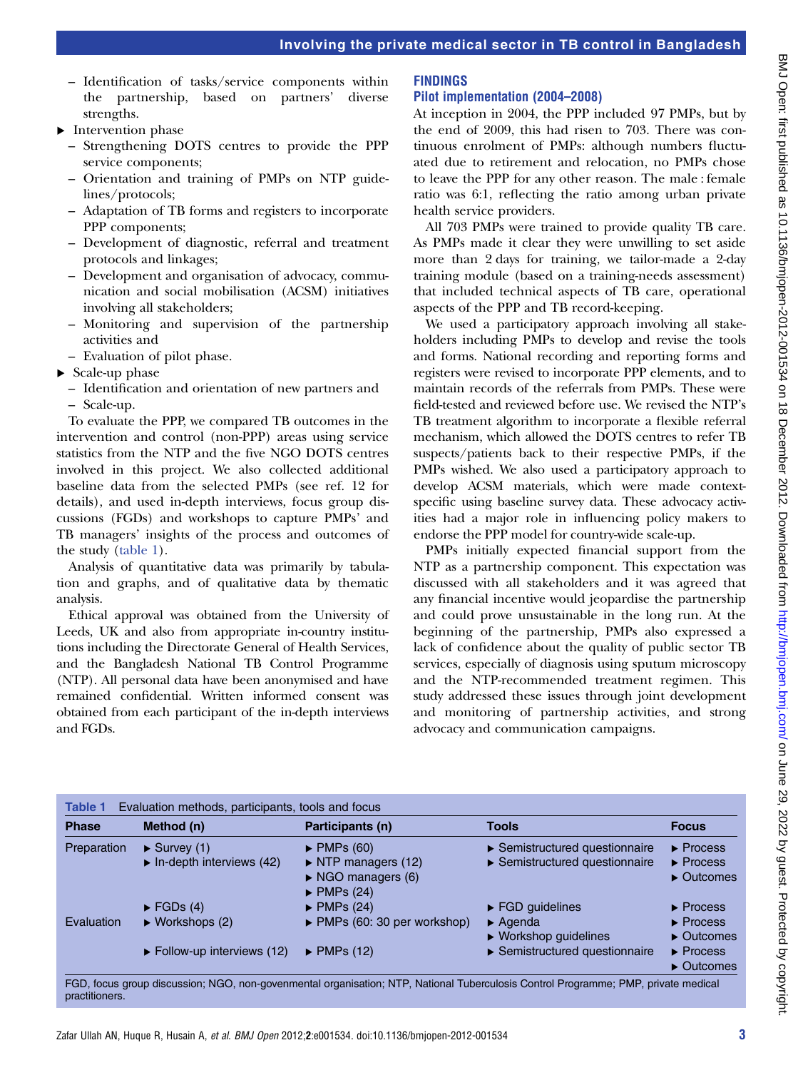- Identification of tasks/service components within the partnership, based on partners' diverse strengths.
- ▸ Intervention phase
	- Strengthening DOTS centres to provide the PPP service components;
	- Orientation and training of PMPs on NTP guidelines/protocols;
	- Adaptation of TB forms and registers to incorporate PPP components;
	- Development of diagnostic, referral and treatment protocols and linkages;
	- Development and organisation of advocacy, communication and social mobilisation (ACSM) initiatives involving all stakeholders;
	- Monitoring and supervision of the partnership activities and
	- Evaluation of pilot phase.
- ▸ Scale-up phase
	- Identification and orientation of new partners and – Scale-up.

To evaluate the PPP, we compared TB outcomes in the intervention and control (non-PPP) areas using service statistics from the NTP and the five NGO DOTS centres involved in this project. We also collected additional baseline data from the selected PMPs (see ref. 12 for details), and used in-depth interviews, focus group discussions (FGDs) and workshops to capture PMPs' and TB managers' insights of the process and outcomes of the study (table 1).

Analysis of quantitative data was primarily by tabulation and graphs, and of qualitative data by thematic analysis.

Ethical approval was obtained from the University of Leeds, UK and also from appropriate in-country institutions including the Directorate General of Health Services, and the Bangladesh National TB Control Programme (NTP). All personal data have been anonymised and have remained confidential. Written informed consent was obtained from each participant of the in-depth interviews and FGDs.

## FINDINGS

## Pilot implementation (2004–2008)

At inception in 2004, the PPP included 97 PMPs, but by the end of 2009, this had risen to 703. There was continuous enrolment of PMPs: although numbers fluctuated due to retirement and relocation, no PMPs chose to leave the PPP for any other reason. The male : female ratio was 6:1, reflecting the ratio among urban private health service providers.

All 703 PMPs were trained to provide quality TB care. As PMPs made it clear they were unwilling to set aside more than 2 days for training, we tailor-made a 2-day training module (based on a training-needs assessment) that included technical aspects of TB care, operational aspects of the PPP and TB record-keeping.

We used a participatory approach involving all stakeholders including PMPs to develop and revise the tools and forms. National recording and reporting forms and registers were revised to incorporate PPP elements, and to maintain records of the referrals from PMPs. These were field-tested and reviewed before use. We revised the NTP's TB treatment algorithm to incorporate a flexible referral mechanism, which allowed the DOTS centres to refer TB suspects/patients back to their respective PMPs, if the PMPs wished. We also used a participatory approach to develop ACSM materials, which were made contextspecific using baseline survey data. These advocacy activities had a major role in influencing policy makers to endorse the PPP model for country-wide scale-up.

PMPs initially expected financial support from the NTP as a partnership component. This expectation was discussed with all stakeholders and it was agreed that any financial incentive would jeopardise the partnership and could prove unsustainable in the long run. At the beginning of the partnership, PMPs also expressed a lack of confidence about the quality of public sector TB services, especially of diagnosis using sputum microscopy and the NTP-recommended treatment regimen. This study addressed these issues through joint development and monitoring of partnership activities, and strong advocacy and communication campaigns.

| <b>Phase</b> | Method (n)                                                                    | Participants (n)                                                                                                                              | <b>Tools</b>                                                                                            | <b>Focus</b>                                                                                |
|--------------|-------------------------------------------------------------------------------|-----------------------------------------------------------------------------------------------------------------------------------------------|---------------------------------------------------------------------------------------------------------|---------------------------------------------------------------------------------------------|
| Preparation  | $\blacktriangleright$ Survey (1)<br>$\triangleright$ In-depth interviews (42) | $\blacktriangleright$ PMPs (60)<br>$\triangleright$ NTP managers (12)<br>$\triangleright$ NGO managers (6)<br>$\blacktriangleright$ PMPs (24) | $\triangleright$ Semistructured questionnaire<br>$\triangleright$ Semistructured questionnaire          | $\blacktriangleright$ Process<br>$\blacktriangleright$ Process<br>$\triangleright$ Outcomes |
| Evaluation   | $\blacktriangleright$ FGDs (4)<br>$\triangleright$ Workshops (2)              | $\blacktriangleright$ PMPs (24)<br>$\triangleright$ PMPs (60: 30 per workshop)                                                                | $\triangleright$ FGD guidelines<br>$\blacktriangleright$ Agenda<br>$\triangleright$ Workshop guidelines | $\blacktriangleright$ Process<br>$\blacktriangleright$ Process<br>$\triangleright$ Outcomes |
|              | $\triangleright$ Follow-up interviews (12)                                    | $\blacktriangleright$ PMPs (12)                                                                                                               | $\triangleright$ Semistructured questionnaire                                                           | $\blacktriangleright$ Process<br>$\triangleright$ Outcomes                                  |

FGD, focus group discussion; NGO, non-govenmental organisation; NTP, National Tuberculosis Control Programme; PMP, private medical practitioners.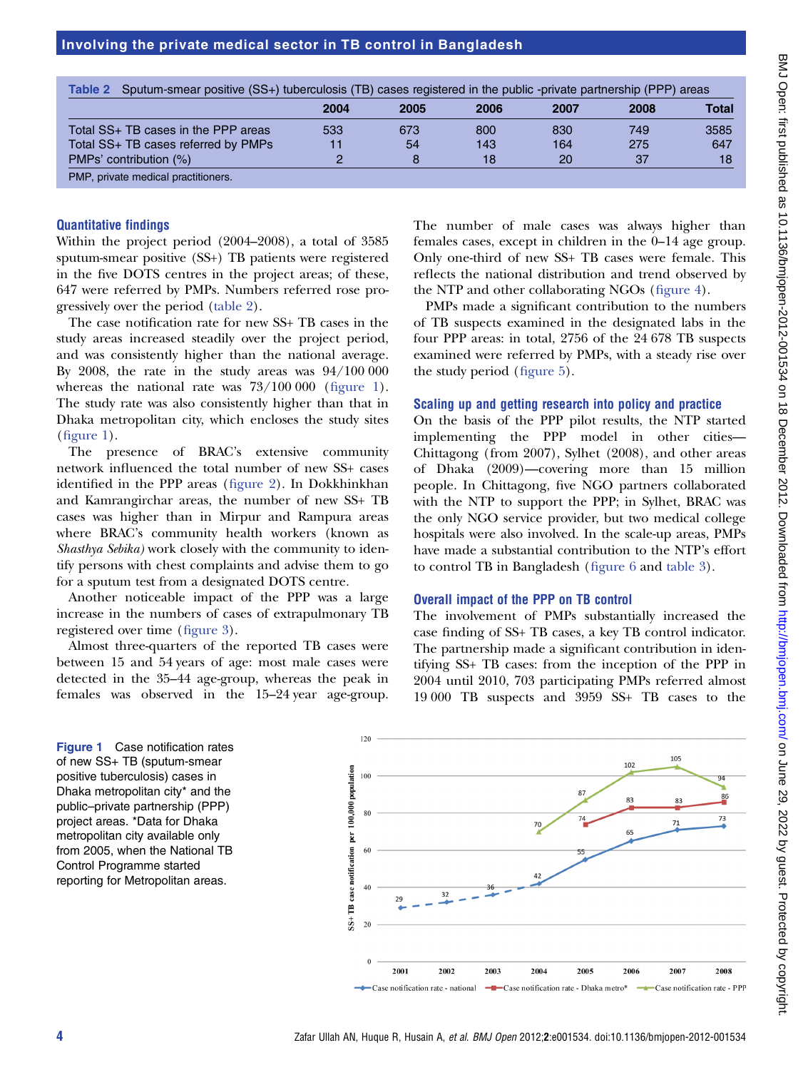| Sputum-smear positive (SS+) tuberculosis (TB) cases registered in the public -private partnership (PPP) areas<br>Table 2 |      |      |      |      |      |       |  |  |  |
|--------------------------------------------------------------------------------------------------------------------------|------|------|------|------|------|-------|--|--|--|
|                                                                                                                          | 2004 | 2005 | 2006 | 2007 | 2008 | Total |  |  |  |
| Total SS+ TB cases in the PPP areas                                                                                      | 533  | 673  | 800  | 830  | 749  | 3585  |  |  |  |
| Total SS+ TB cases referred by PMPs                                                                                      | 11   | 54   | 143  | 164  | 275  | 647   |  |  |  |
| PMPs' contribution (%)                                                                                                   | っ    | 8    | 18   | 20   | 37   | 18    |  |  |  |
| PMP, private medical practitioners.                                                                                      |      |      |      |      |      |       |  |  |  |

## Quantitative findings

Within the project period (2004–2008), a total of 3585 sputum-smear positive (SS+) TB patients were registered in the five DOTS centres in the project areas; of these, 647 were referred by PMPs. Numbers referred rose progressively over the period (table 2).

The case notification rate for new SS+ TB cases in the study areas increased steadily over the project period, and was consistently higher than the national average. By 2008, the rate in the study areas was 94/100 000 whereas the national rate was  $73/100000$  (figure 1). The study rate was also consistently higher than that in Dhaka metropolitan city, which encloses the study sites (figure 1).

The presence of BRAC's extensive community network influenced the total number of new SS+ cases identified in the PPP areas (figure 2). In Dokkhinkhan and Kamrangirchar areas, the number of new SS+ TB cases was higher than in Mirpur and Rampura areas where BRAC's community health workers (known as Shasthya Sebika) work closely with the community to identify persons with chest complaints and advise them to go for a sputum test from a designated DOTS centre.

Another noticeable impact of the PPP was a large increase in the numbers of cases of extrapulmonary TB registered over time (figure 3).

Almost three-quarters of the reported TB cases were between 15 and 54 years of age: most male cases were detected in the 35–44 age-group, whereas the peak in females was observed in the 15–24 year age-group.

The number of male cases was always higher than females cases, except in children in the 0–14 age group. Only one-third of new SS+ TB cases were female. This reflects the national distribution and trend observed by the NTP and other collaborating NGOs (figure 4).

PMPs made a significant contribution to the numbers of TB suspects examined in the designated labs in the four PPP areas: in total, 2756 of the 24 678 TB suspects examined were referred by PMPs, with a steady rise over the study period (figure 5).

## Scaling up and getting research into policy and practice

On the basis of the PPP pilot results, the NTP started implementing the PPP model in other cities— Chittagong (from 2007), Sylhet (2008), and other areas of Dhaka (2009)—covering more than 15 million people. In Chittagong, five NGO partners collaborated with the NTP to support the PPP; in Sylhet, BRAC was the only NGO service provider, but two medical college hospitals were also involved. In the scale-up areas, PMPs have made a substantial contribution to the NTP's effort to control TB in Bangladesh (figure 6 and table 3).

## Overall impact of the PPP on TB control

The involvement of PMPs substantially increased the case finding of SS+ TB cases, a key TB control indicator. The partnership made a significant contribution in identifying SS+ TB cases: from the inception of the PPP in 2004 until 2010, 703 participating PMPs referred almost 19 000 TB suspects and 3959 SS+ TB cases to the

Figure 1 Case notification rates of new SS+ TB (sputum-smear positive tuberculosis) cases in Dhaka metropolitan city\* and the public–private partnership (PPP) project areas. \*Data for Dhaka metropolitan city available only from 2005, when the National TB Control Programme started reporting for Metropolitan areas.

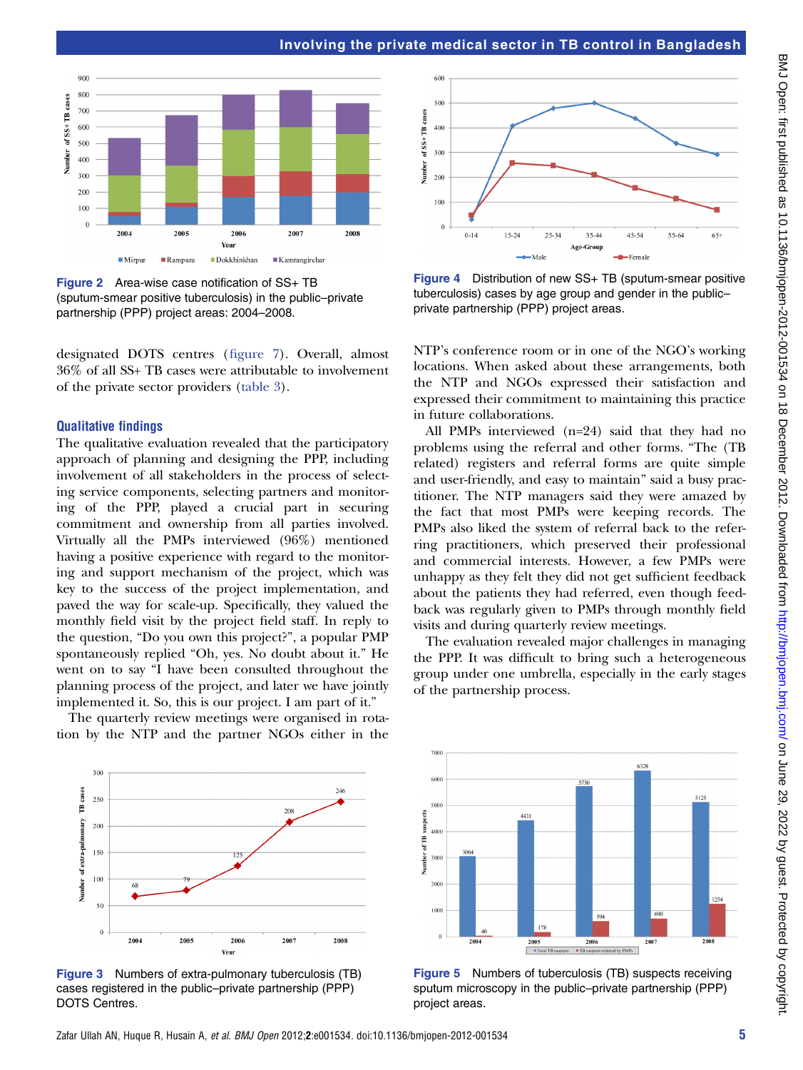

Figure 2 Area-wise case notification of SS+ TB (sputum-smear positive tuberculosis) in the public–private partnership (PPP) project areas: 2004–2008.

designated DOTS centres (figure 7). Overall, almost 36% of all SS+ TB cases were attributable to involvement of the private sector providers (table 3).

#### Qualitative findings

The qualitative evaluation revealed that the participatory approach of planning and designing the PPP, including involvement of all stakeholders in the process of selecting service components, selecting partners and monitoring of the PPP, played a crucial part in securing commitment and ownership from all parties involved. Virtually all the PMPs interviewed (96%) mentioned having a positive experience with regard to the monitoring and support mechanism of the project, which was key to the success of the project implementation, and paved the way for scale-up. Specifically, they valued the monthly field visit by the project field staff. In reply to the question, "Do you own this project?", a popular PMP spontaneously replied "Oh, yes. No doubt about it." He went on to say "I have been consulted throughout the planning process of the project, and later we have jointly implemented it. So, this is our project. I am part of it."

The quarterly review meetings were organised in rotation by the NTP and the partner NGOs either in the



Figure 3 Numbers of extra-pulmonary tuberculosis (TB) cases registered in the public–private partnership (PPP) DOTS Centres.



Figure 4 Distribution of new SS+ TB (sputum-smear positive tuberculosis) cases by age group and gender in the public– private partnership (PPP) project areas.

NTP's conference room or in one of the NGO's working locations. When asked about these arrangements, both the NTP and NGOs expressed their satisfaction and expressed their commitment to maintaining this practice in future collaborations.

All PMPs interviewed (n=24) said that they had no problems using the referral and other forms. "The (TB related) registers and referral forms are quite simple and user-friendly, and easy to maintain" said a busy practitioner. The NTP managers said they were amazed by the fact that most PMPs were keeping records. The PMPs also liked the system of referral back to the referring practitioners, which preserved their professional and commercial interests. However, a few PMPs were unhappy as they felt they did not get sufficient feedback about the patients they had referred, even though feedback was regularly given to PMPs through monthly field visits and during quarterly review meetings.

The evaluation revealed major challenges in managing the PPP. It was difficult to bring such a heterogeneous group under one umbrella, especially in the early stages of the partnership process.



Figure 5 Numbers of tuberculosis (TB) suspects receiving sputum microscopy in the public–private partnership (PPP) project areas.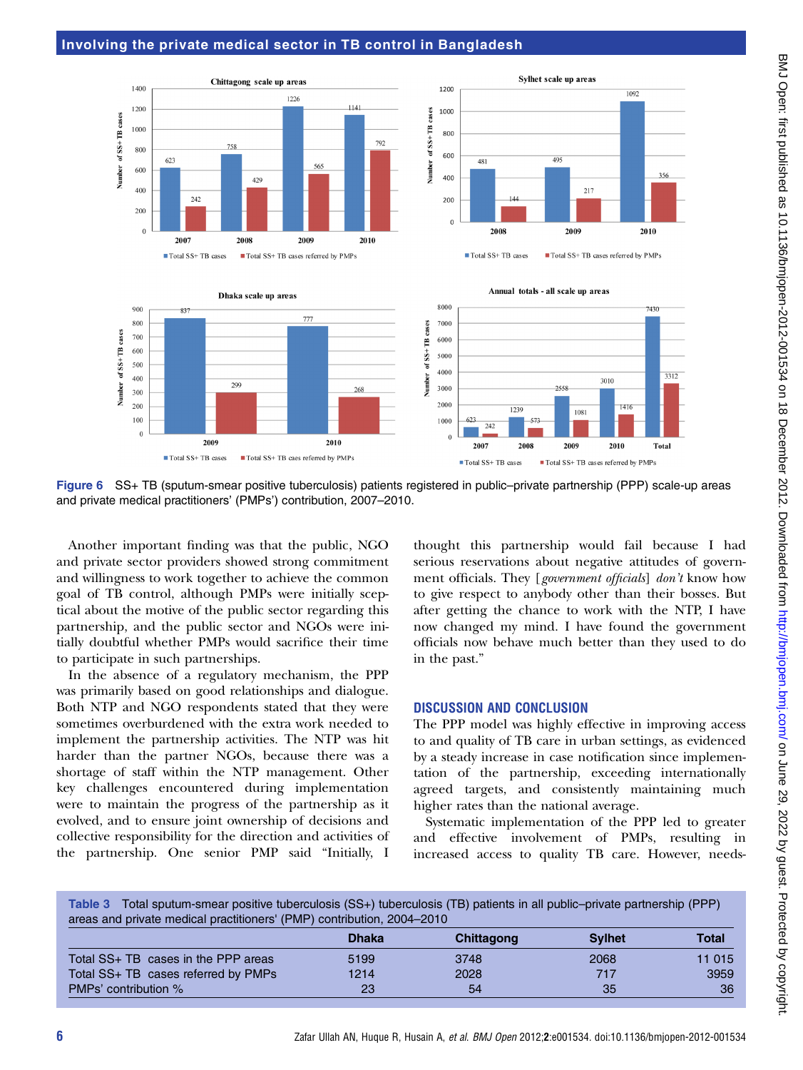

Figure 6 SS+ TB (sputum-smear positive tuberculosis) patients registered in public–private partnership (PPP) scale-up areas and private medical practitioners' (PMPs') contribution, 2007–2010.

Another important finding was that the public, NGO and private sector providers showed strong commitment and willingness to work together to achieve the common goal of TB control, although PMPs were initially sceptical about the motive of the public sector regarding this partnership, and the public sector and NGOs were initially doubtful whether PMPs would sacrifice their time to participate in such partnerships.

In the absence of a regulatory mechanism, the PPP was primarily based on good relationships and dialogue. Both NTP and NGO respondents stated that they were sometimes overburdened with the extra work needed to implement the partnership activities. The NTP was hit harder than the partner NGOs, because there was a shortage of staff within the NTP management. Other key challenges encountered during implementation were to maintain the progress of the partnership as it evolved, and to ensure joint ownership of decisions and collective responsibility for the direction and activities of the partnership. One senior PMP said "Initially, I

thought this partnership would fail because I had serious reservations about negative attitudes of government officials. They [government officials] don't know how to give respect to anybody other than their bosses. But after getting the chance to work with the NTP, I have now changed my mind. I have found the government officials now behave much better than they used to do in the past."

## DISCUSSION AND CONCLUSION

The PPP model was highly effective in improving access to and quality of TB care in urban settings, as evidenced by a steady increase in case notification since implementation of the partnership, exceeding internationally agreed targets, and consistently maintaining much higher rates than the national average.

Systematic implementation of the PPP led to greater and effective involvement of PMPs, resulting in increased access to quality TB care. However, needs-

Table 3 Total sputum-smear positive tuberculosis (SS+) tuberculosis (TB) patients in all public–private partnership (PPP) areas and private medical practitioners' (PMP) contribution, 2004–2010

|                                     | <b>Dhaka</b> | Chittagong | <b>Sylhet</b> | Total  |
|-------------------------------------|--------------|------------|---------------|--------|
| Total SS+ TB cases in the PPP areas | 5199         | 3748       | 2068          | 11 015 |
| Total SS+ TB cases referred by PMPs | 1214         | 2028       | 717           | 3959   |
| <b>PMPs' contribution %</b>         | 23           | 54         | 35            | 36     |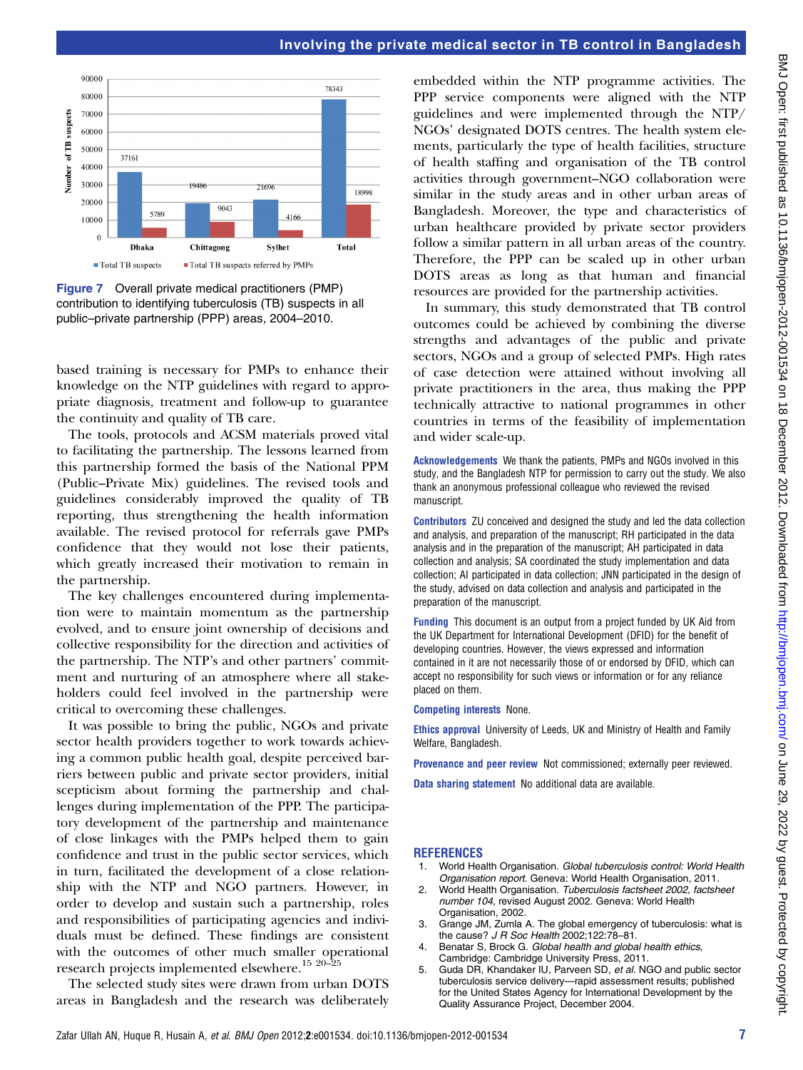

Figure 7 Overall private medical practitioners (PMP) contribution to identifying tuberculosis (TB) suspects in all public–private partnership (PPP) areas, 2004–2010.

based training is necessary for PMPs to enhance their knowledge on the NTP guidelines with regard to appropriate diagnosis, treatment and follow-up to guarantee the continuity and quality of TB care.

The tools, protocols and ACSM materials proved vital to facilitating the partnership. The lessons learned from this partnership formed the basis of the National PPM (Public–Private Mix) guidelines. The revised tools and guidelines considerably improved the quality of TB reporting, thus strengthening the health information available. The revised protocol for referrals gave PMPs confidence that they would not lose their patients, which greatly increased their motivation to remain in the partnership.

The key challenges encountered during implementation were to maintain momentum as the partnership evolved, and to ensure joint ownership of decisions and collective responsibility for the direction and activities of the partnership. The NTP's and other partners' commitment and nurturing of an atmosphere where all stakeholders could feel involved in the partnership were critical to overcoming these challenges.

It was possible to bring the public, NGOs and private sector health providers together to work towards achieving a common public health goal, despite perceived barriers between public and private sector providers, initial scepticism about forming the partnership and challenges during implementation of the PPP. The participatory development of the partnership and maintenance of close linkages with the PMPs helped them to gain confidence and trust in the public sector services, which in turn, facilitated the development of a close relationship with the NTP and NGO partners. However, in order to develop and sustain such a partnership, roles and responsibilities of participating agencies and individuals must be defined. These findings are consistent with the outcomes of other much smaller operational research projects implemented elsewhere.<sup>15 20–25</sup>

The selected study sites were drawn from urban DOTS areas in Bangladesh and the research was deliberately

embedded within the NTP programme activities. The PPP service components were aligned with the NTP guidelines and were implemented through the NTP/ NGOs' designated DOTS centres. The health system elements, particularly the type of health facilities, structure of health staffing and organisation of the TB control activities through government–NGO collaboration were similar in the study areas and in other urban areas of Bangladesh. Moreover, the type and characteristics of urban healthcare provided by private sector providers follow a similar pattern in all urban areas of the country. Therefore, the PPP can be scaled up in other urban DOTS areas as long as that human and financial resources are provided for the partnership activities.

In summary, this study demonstrated that TB control outcomes could be achieved by combining the diverse strengths and advantages of the public and private sectors, NGOs and a group of selected PMPs. High rates of case detection were attained without involving all private practitioners in the area, thus making the PPP technically attractive to national programmes in other countries in terms of the feasibility of implementation and wider scale-up.

Acknowledgements We thank the patients, PMPs and NGOs involved in this study, and the Bangladesh NTP for permission to carry out the study. We also thank an anonymous professional colleague who reviewed the revised manuscript.

Contributors ZU conceived and designed the study and led the data collection and analysis, and preparation of the manuscript; RH participated in the data analysis and in the preparation of the manuscript; AH participated in data collection and analysis; SA coordinated the study implementation and data collection; AI participated in data collection; JNN participated in the design of the study, advised on data collection and analysis and participated in the preparation of the manuscript.

Funding This document is an output from a project funded by UK Aid from the UK Department for International Development (DFID) for the benefit of developing countries. However, the views expressed and information contained in it are not necessarily those of or endorsed by DFID, which can accept no responsibility for such views or information or for any reliance placed on them.

#### Competing interests None.

Ethics approval University of Leeds, UK and Ministry of Health and Family Welfare, Bangladesh.

Provenance and peer review Not commissioned; externally peer reviewed.

Data sharing statement No additional data are available.

#### **REFERENCES**

- 1. World Health Organisation. Global tuberculosis control: World Health Organisation report. Geneva: World Health Organisation, 2011.
- 2. World Health Organisation. Tuberculosis factsheet 2002, factsheet number 104, revised August 2002. Geneva: World Health Organisation, 2002.
- 3. Grange JM, Zumla A. The global emergency of tuberculosis: what is the cause? J R Soc Health 2002;122:78–81.
- Benatar S, Brock G. Global health and global health ethics, Cambridge: Cambridge University Press, 2011.
- 5. Guda DR, Khandaker IU, Parveen SD, et al. NGO and public sector tuberculosis service delivery—rapid assessment results; published for the United States Agency for International Development by the Quality Assurance Project, December 2004.